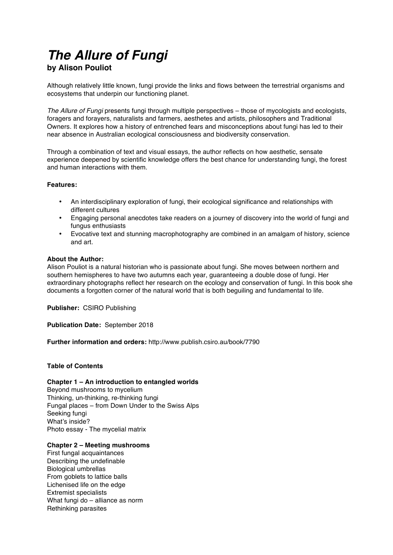# *The Allure of Fungi*

# **by Alison Pouliot**

Although relatively little known, fungi provide the links and flows between the terrestrial organisms and ecosystems that underpin our functioning planet.

*The Allure of Fungi* presents fungi through multiple perspectives – those of mycologists and ecologists, foragers and forayers, naturalists and farmers, aesthetes and artists, philosophers and Traditional Owners. It explores how a history of entrenched fears and misconceptions about fungi has led to their near absence in Australian ecological consciousness and biodiversity conservation.

Through a combination of text and visual essays, the author reflects on how aesthetic, sensate experience deepened by scientific knowledge offers the best chance for understanding fungi, the forest and human interactions with them.

# **Features:**

- An interdisciplinary exploration of fungi, their ecological significance and relationships with different cultures
- Engaging personal anecdotes take readers on a journey of discovery into the world of fungi and fungus enthusiasts
- Evocative text and stunning macrophotography are combined in an amalgam of history, science and art.

# **About the Author:**

Alison Pouliot is a natural historian who is passionate about fungi. She moves between northern and southern hemispheres to have two autumns each year, guaranteeing a double dose of fungi. Her extraordinary photographs reflect her research on the ecology and conservation of fungi. In this book she documents a forgotten corner of the natural world that is both beguiling and fundamental to life.

**Publisher:** CSIRO Publishing

**Publication Date:** September 2018

**Further information and orders:** http://www.publish.csiro.au/book/7790

# **Table of Contents**

# **Chapter 1 – An introduction to entangled worlds**

Beyond mushrooms to mycelium Thinking, un-thinking, re-thinking fungi Fungal places – from Down Under to the Swiss Alps Seeking fungi What's inside? Photo essay - The mycelial matrix

# **Chapter 2 – Meeting mushrooms**

First fungal acquaintances Describing the undefinable Biological umbrellas From goblets to lattice balls Lichenised life on the edge Extremist specialists What fungi do – alliance as norm Rethinking parasites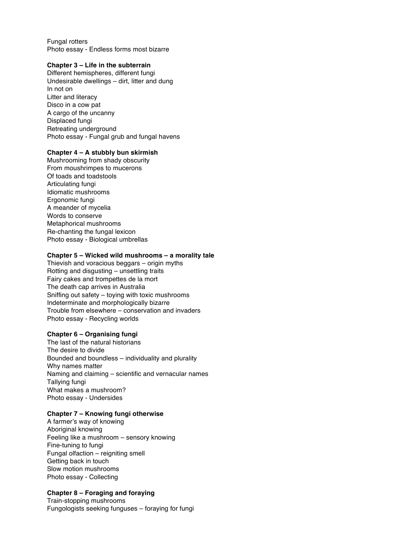Fungal rotters Photo essay - Endless forms most bizarre

#### **Chapter 3 – Life in the subterrain**

Different hemispheres, different fungi Undesirable dwellings – dirt, litter and dung In not on Litter and literacy Disco in a cow pat A cargo of the uncanny Displaced fungi Retreating underground Photo essay - Fungal grub and fungal havens

#### **Chapter 4 – A stubbly bun skirmish**

Mushrooming from shady obscurity From moushrimpes to mucerons Of toads and toadstools Articulating fungi Idiomatic mushrooms Ergonomic fungi A meander of mycelia Words to conserve Metaphorical mushrooms Re-chanting the fungal lexicon Photo essay - Biological umbrellas

#### **Chapter 5 – Wicked wild mushrooms – a morality tale**

Thievish and voracious beggars – origin myths Rotting and disgusting – unsettling traits Fairy cakes and trompettes de la mort The death cap arrives in Australia Sniffing out safety – toying with toxic mushrooms Indeterminate and morphologically bizarre Trouble from elsewhere – conservation and invaders Photo essay - Recycling worlds

#### **Chapter 6 – Organising fungi**

The last of the natural historians The desire to divide Bounded and boundless – individuality and plurality Why names matter Naming and claiming – scientific and vernacular names Tallying fungi What makes a mushroom? Photo essay - Undersides

### **Chapter 7 – Knowing fungi otherwise**

A farmer's way of knowing Aboriginal knowing Feeling like a mushroom – sensory knowing Fine-tuning to fungi Fungal olfaction – reigniting smell Getting back in touch Slow motion mushrooms Photo essay - Collecting

#### **Chapter 8 – Foraging and foraying**

Train-stopping mushrooms Fungologists seeking funguses – foraying for fungi